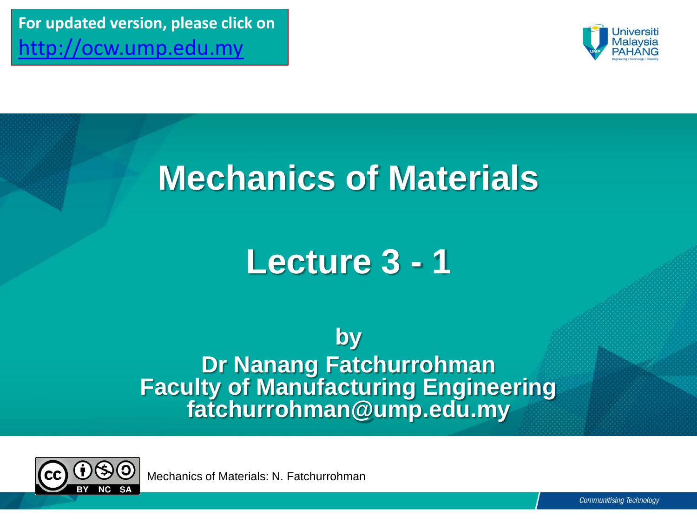**For updated version, please click on**  [http://ocw.ump.edu.my](http://ocw.ump.edu.my/) 



### **Mechanics of Materials**

# **Lecture 3 - 1**

**by Dr Nanang Fatchurrohman Faculty of Manufacturing Engineering fatchurrohman@ump.edu.my**



Mechanics of Materials: N. Fatchurrohman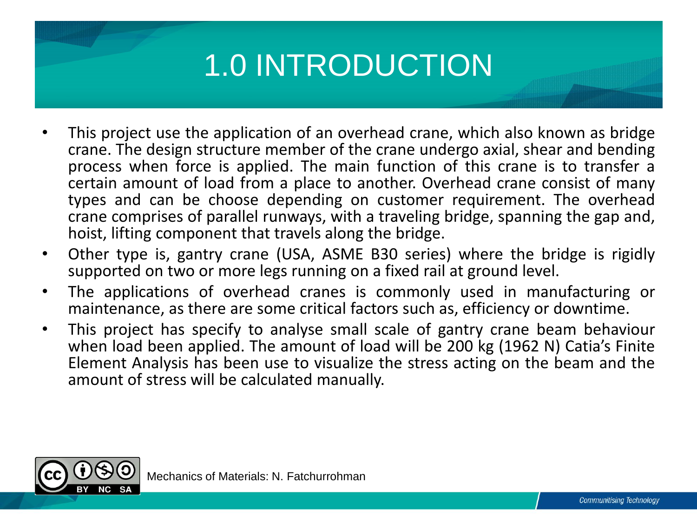## 1.0 INTRODUCTION

- This project use the application of an overhead crane, which also known as bridge crane. The design structure member of the crane undergo axial, shear and bending process when force is applied. The main function of this crane is to transfer a certain amount of load from a place to another. Overhead crane consist of many types and can be choose depending on customer requirement. The overhead crane comprises of parallel runways, with a traveling bridge, spanning the gap and, hoist, lifting component that travels along the bridge.
- Other type is, gantry crane (USA, ASME B30 series) where the bridge is rigidly supported on two or more legs running on a fixed rail at ground level.
- The applications of overhead cranes is commonly used in manufacturing or maintenance, as there are some critical factors such as, efficiency or downtime.
- This project has specify to analyse small scale of gantry crane beam behaviour when load been applied. The amount of load will be 200 kg (1962 N) Catia's Finite Element Analysis has been use to visualize the stress acting on the beam and the amount of stress will be calculated manually.

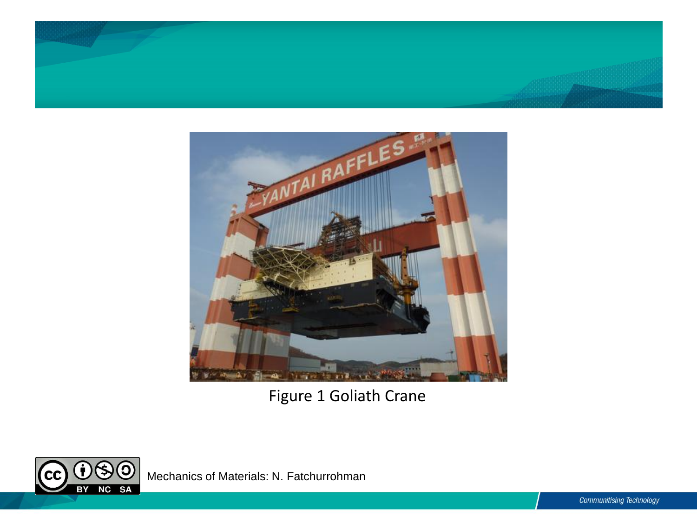



Figure 1 Goliath Crane



Mechanics of Materials: N. Fatchurrohman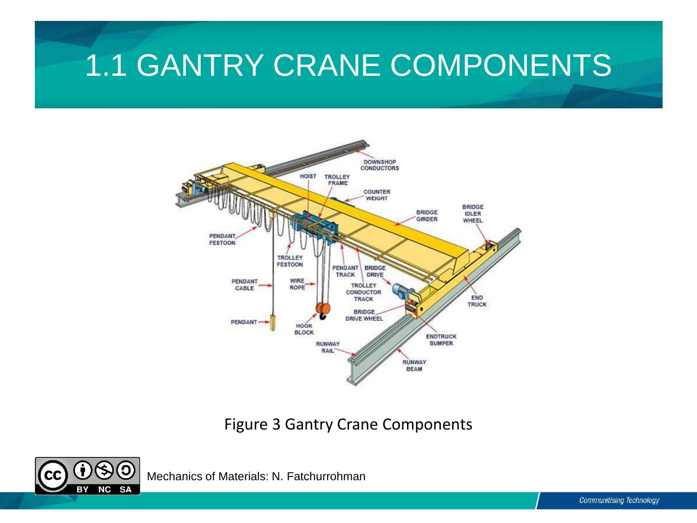### 1.1 GANTRY CRANE COMPONENTS



#### Figure 3 Gantry Crane Components



Mechanics of Materials: N. Fatchurrohman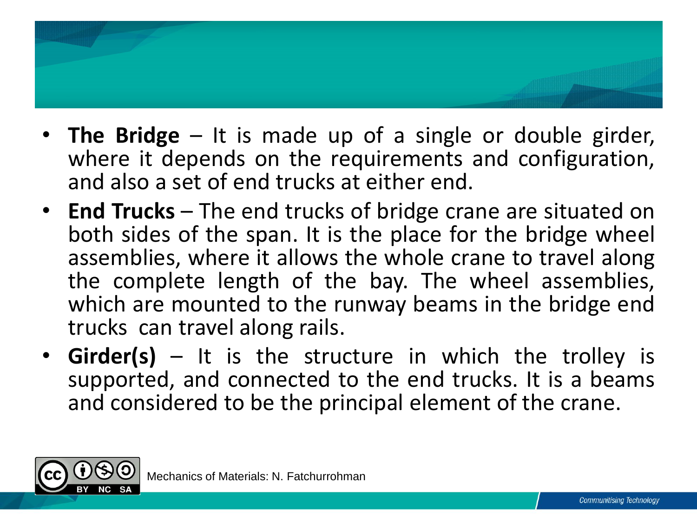

- **The Bridge** It is made up of a single or double girder, where it depends on the requirements and configuration, and also a set of end trucks at either end.
- **End Trucks** The end trucks of bridge crane are situated on both sides of the span. It is the place for the bridge wheel assemblies, where it allows the whole crane to travel along the complete length of the bay. The wheel assemblies, which are mounted to the runway beams in the bridge end trucks can travel along rails.
- **Girder(s)** It is the structure in which the trolley is supported, and connected to the end trucks. It is a beams and considered to be the principal element of the crane.